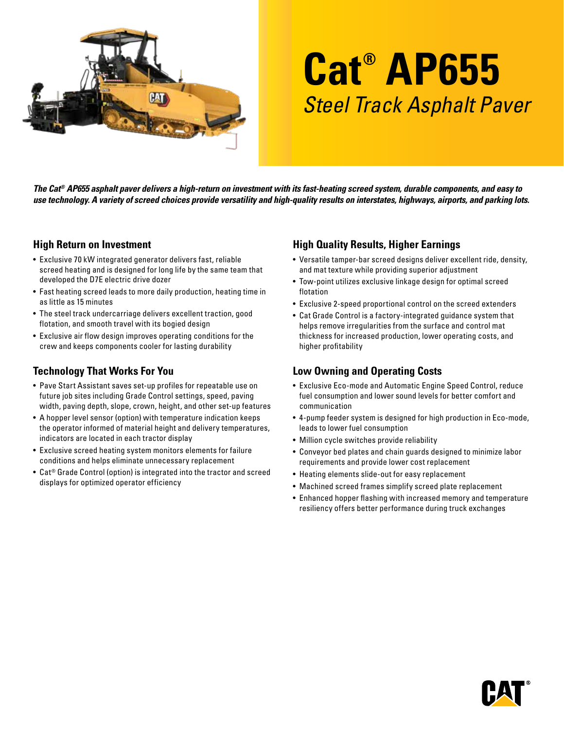

# **Cat® AP655** Steel Track Asphalt Paver

*The Cat® AP655 asphalt paver delivers a high-return on investment with its fast-heating screed system, durable components, and easy to use technology. A variety of screed choices provide versatility and high-quality results on interstates, highways, airports, and parking lots.* 

#### **High Return on Investment**

- Exclusive 70 kW integrated generator delivers fast, reliable screed heating and is designed for long life by the same team that developed the D7E electric drive dozer
- Fast heating screed leads to more daily production, heating time in as little as 15 minutes
- The steel track undercarriage delivers excellent traction, good flotation, and smooth travel with its bogied design
- Exclusive air flow design improves operating conditions for the crew and keeps components cooler for lasting durability

## **Technology That Works For You**

- Pave Start Assistant saves set-up profiles for repeatable use on future job sites including Grade Control settings, speed, paving width, paving depth, slope, crown, height, and other set-up features
- A hopper level sensor (option) with temperature indication keeps the operator informed of material height and delivery temperatures, indicators are located in each tractor display
- Exclusive screed heating system monitors elements for failure conditions and helps eliminate unnecessary replacement
- Cat® Grade Control (option) is integrated into the tractor and screed displays for optimized operator efficiency

## **High Quality Results, Higher Earnings**

- Versatile tamper-bar screed designs deliver excellent ride, density, and mat texture while providing superior adjustment
- Tow-point utilizes exclusive linkage design for optimal screed flotation
- Exclusive 2-speed proportional control on the screed extenders
- Cat Grade Control is a factory-integrated guidance system that helps remove irregularities from the surface and control mat thickness for increased production, lower operating costs, and higher profitability

## **Low Owning and Operating Costs**

- Exclusive Eco-mode and Automatic Engine Speed Control, reduce fuel consumption and lower sound levels for better comfort and communication
- 4-pump feeder system is designed for high production in Eco-mode, leads to lower fuel consumption
- Million cycle switches provide reliability
- Conveyor bed plates and chain guards designed to minimize labor requirements and provide lower cost replacement
- Heating elements slide-out for easy replacement
- Machined screed frames simplify screed plate replacement
- Enhanced hopper flashing with increased memory and temperature resiliency offers better performance during truck exchanges

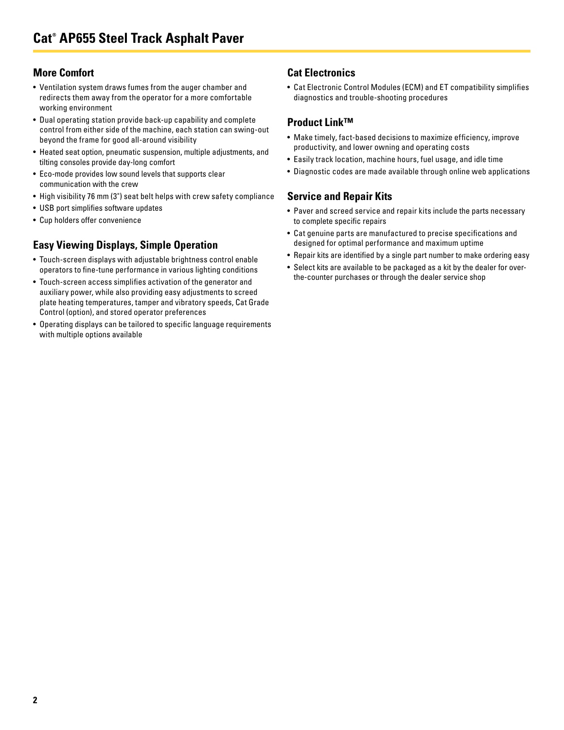#### **More Comfort**

- Ventilation system draws fumes from the auger chamber and redirects them away from the operator for a more comfortable working environment
- Dual operating station provide back-up capability and complete control from either side of the machine, each station can swing-out beyond the frame for good all-around visibility
- Heated seat option, pneumatic suspension, multiple adjustments, and tilting consoles provide day-long comfort
- Eco-mode provides low sound levels that supports clear communication with the crew
- High visibility 76 mm (3") seat belt helps with crew safety compliance
- USB port simplifies software updates
- Cup holders offer convenience

## **Easy Viewing Displays, Simple Operation**

- Touch-screen displays with adjustable brightness control enable operators to fine-tune performance in various lighting conditions
- Touch-screen access simplifies activation of the generator and auxiliary power, while also providing easy adjustments to screed plate heating temperatures, tamper and vibratory speeds, Cat Grade Control (option), and stored operator preferences
- Operating displays can be tailored to specific language requirements with multiple options available

## **Cat Electronics**

• Cat Electronic Control Modules (ECM) and ET compatibility simplifies diagnostics and trouble-shooting procedures

#### **Product Link™**

- Make timely, fact-based decisions to maximize efficiency, improve productivity, and lower owning and operating costs
- Easily track location, machine hours, fuel usage, and idle time
- Diagnostic codes are made available through online web applications

#### **Service and Repair Kits**

- Paver and screed service and repair kits include the parts necessary to complete specific repairs
- Cat genuine parts are manufactured to precise specifications and designed for optimal performance and maximum uptime
- Repair kits are identified by a single part number to make ordering easy
- Select kits are available to be packaged as a kit by the dealer for overthe-counter purchases or through the dealer service shop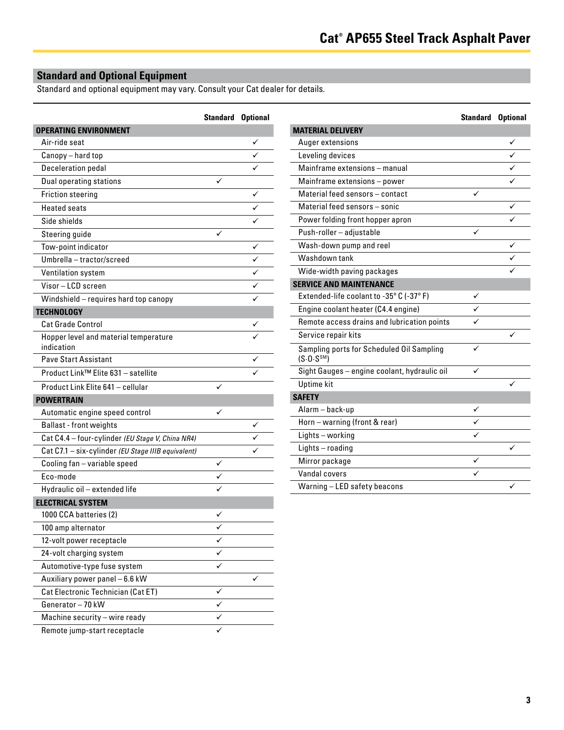## **Standard and Optional Equipment**

Standard and optional equipment may vary. Consult your Cat dealer for details.

|                                                     | <b>Standard Optional</b> |   |
|-----------------------------------------------------|--------------------------|---|
| <b>OPERATING ENVIRONMENT</b>                        |                          |   |
| Air-ride seat                                       |                          | ✓ |
| Canopy - hard top                                   |                          |   |
| Deceleration pedal                                  |                          |   |
| <b>Dual operating stations</b>                      |                          |   |
| <b>Friction steering</b>                            |                          | ✓ |
| <b>Heated seats</b>                                 |                          | ✓ |
| Side shields                                        |                          |   |
| Steering guide                                      |                          |   |
| Tow-point indicator                                 |                          | ✓ |
| Umbrella - tractor/screed                           |                          |   |
| Ventilation system                                  |                          |   |
| Visor - LCD screen                                  |                          |   |
| Windshield - requires hard top canopy               |                          |   |
| <b>TECHNOLOGY</b>                                   |                          |   |
| <b>Cat Grade Control</b>                            |                          |   |
| Hopper level and material temperature<br>indication |                          |   |
| <b>Pave Start Assistant</b>                         |                          |   |
| Product Link™ Elite 631 - satellite                 |                          |   |
| Product Link Elite 641 - cellular                   |                          |   |
| <b>POWERTRAIN</b>                                   |                          |   |
| Automatic engine speed control                      | ✓                        |   |
| <b>Ballast</b> - front weights                      |                          |   |
| Cat C4.4 - four-cylinder (EU Stage V, China NR4)    |                          |   |
| Cat C7.1 - six-cylinder (EU Stage IIIB equivalent)  |                          |   |
| Cooling fan - variable speed                        | ✓                        |   |
| Eco-mode                                            |                          |   |
| Hydraulic oil - extended life                       |                          |   |
| <b>ELECTRICAL SYSTEM</b>                            |                          |   |
| 1000 CCA batteries (2)                              |                          |   |
| 100 amp alternator                                  | ✓                        |   |
| 12-volt power receptacle                            |                          |   |
| 24-volt charging system                             |                          |   |
| Automotive-type fuse system                         |                          |   |
| Auxiliary power panel - 6.6 kW                      |                          |   |
| Cat Electronic Technician (Cat ET)                  |                          |   |
| Generator-70 kW                                     | ✓                        |   |
| Machine security - wire ready                       |                          |   |
| Remote jump-start receptacle                        |                          |   |

|                                                                      | <b>Standard Optional</b> |   |
|----------------------------------------------------------------------|--------------------------|---|
| <b>MATERIAL DELIVERY</b>                                             |                          |   |
| Auger extensions                                                     |                          |   |
| Leveling devices                                                     |                          |   |
| Mainframe extensions - manual                                        |                          |   |
| Mainframe extensions - power                                         |                          |   |
| Material feed sensors - contact                                      |                          |   |
| Material feed sensors - sonic                                        |                          | ✓ |
| Power folding front hopper apron                                     |                          |   |
| Push-roller - adjustable                                             |                          |   |
| Wash-down pump and reel                                              |                          | ✓ |
| Washdown tank                                                        |                          |   |
| Wide-width paving packages                                           |                          |   |
| <b>SERVICE AND MAINTENANCE</b>                                       |                          |   |
| Extended-life coolant to -35° C (-37° F)                             | ✓                        |   |
| Engine coolant heater (C4.4 engine)                                  |                          |   |
| Remote access drains and lubrication points                          |                          |   |
| Service repair kits                                                  |                          |   |
| Sampling ports for Scheduled Oil Sampling<br>(S.0. S <sup>SM</sup> ) | ✓                        |   |
| Sight Gauges - engine coolant, hydraulic oil                         |                          |   |
| <b>Uptime</b> kit                                                    |                          |   |
| <b>SAFETY</b>                                                        |                          |   |
| Alarm-back-up                                                        | ✓                        |   |
| Horn - warning (front & rear)                                        |                          |   |
| Lights - working                                                     |                          |   |
| Lights-roading                                                       |                          |   |
| Mirror package                                                       | ✓                        |   |
| Vandal covers                                                        |                          |   |
| Warning - LED safety beacons                                         |                          | ✓ |